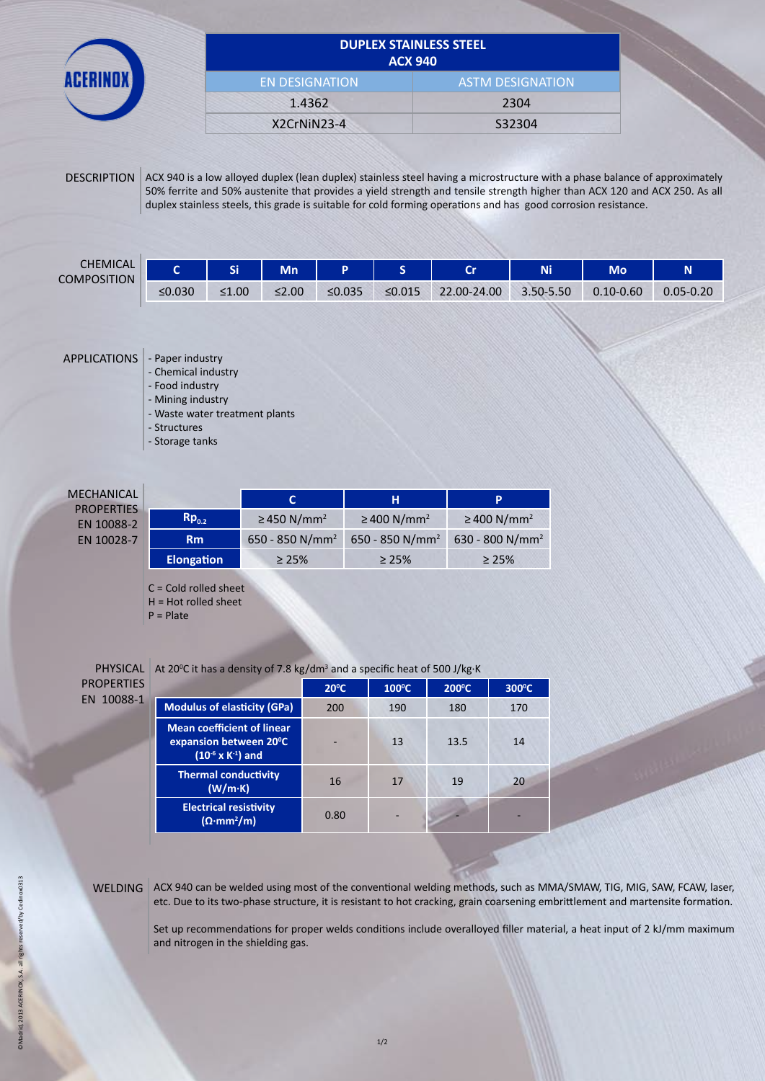|                    |        | <b>DUPLEX STAINLESS STEEL</b><br><b>ACX 940</b> |             |              |        |                                                                                                                                                                                                                                                          |           |               |               |
|--------------------|--------|-------------------------------------------------|-------------|--------------|--------|----------------------------------------------------------------------------------------------------------------------------------------------------------------------------------------------------------------------------------------------------------|-----------|---------------|---------------|
|                    |        | <b>EN DESIGNATION</b>                           |             |              |        | <b>ASTM DESIGNATION</b>                                                                                                                                                                                                                                  |           |               |               |
|                    |        | 1.4362                                          |             |              | 2304   |                                                                                                                                                                                                                                                          |           |               |               |
|                    |        |                                                 | X2CrNiN23-4 |              |        |                                                                                                                                                                                                                                                          | S32304    |               |               |
| <b>DESCRIPTION</b> |        |                                                 |             |              |        | ACX 940 is a low alloyed duplex (lean duplex) stainless steel having a microstructure with a phase balance of approximately<br>50% ferrite and 50% austenite that provides a yield strength and tensile strength higher than ACX 120 and ACX 250. As all |           |               |               |
|                    |        |                                                 |             |              |        | duplex stainless steels, this grade is suitable for cold forming operations and has good corrosion resistance.                                                                                                                                           |           |               |               |
| <b>CHEMICAL</b>    | Ċ      | Si                                              | <b>Mn</b>   | P            | S.     | <b>Cr</b>                                                                                                                                                                                                                                                | <b>Ni</b> | <b>Mo</b>     | N.            |
| <b>COMPOSITION</b> | ≤0.030 | $\leq 1.00$                                     | $\leq$ 2.00 | $\leq 0.035$ | ≤0.015 | 22.00-24.00                                                                                                                                                                                                                                              | 3.50-5.50 | $0.10 - 0.60$ | $0.05 - 0.20$ |

APPLICATIONS - Paper industry

- Chemical industry

- Food industry

- Mining industry

- Waste water treatment plants

- Structures

- Storage tanks

| MECHANICAL |
|------------|
| PROPERTIES |
| EN 10088-2 |
| EN 10030 7 |

| <b>ECHANICAL</b><br><b>PROPERTIES</b> |                     |                             | н                            | P                            |  |
|---------------------------------------|---------------------|-----------------------------|------------------------------|------------------------------|--|
| EN 10088-2                            | $\mathsf{Rp}_{0.2}$ | ≥450 N/mm <sup>2</sup>      | $\geq$ 400 N/mm <sup>2</sup> | $\geq$ 400 N/mm <sup>2</sup> |  |
| EN 10028-7                            | <b>Rm</b>           | 650 - 850 N/mm <sup>2</sup> | 650 - 850 N/mm <sup>2</sup>  | 630 - 800 N/mm <sup>2</sup>  |  |
|                                       | <b>Elongation</b>   | $\geq 25\%$                 | $\geq 25\%$                  | $\geq 25\%$                  |  |

C = Cold rolled sheet

H = Hot rolled sheet

P = Plate

PROPERTIES EN 10088-1

PHYSICAL At 20<sup>°</sup>C it has a density of 7.8 kg/dm<sup>3</sup> and a specific heat of 500 J/kg·K

|                                                                                              | $20^{\circ}$ C | $100^{\circ}$ C | $200^{\circ}$ C | 300°C |
|----------------------------------------------------------------------------------------------|----------------|-----------------|-----------------|-------|
| <b>Modulus of elasticity (GPa)</b>                                                           | 200            | 190             | 180             | 170   |
| <b>Mean coefficient of linear</b><br>expansion between 20°C<br>$(10^{-6} \times K^{-1})$ and |                | 13              | 13.5            | 14    |
| <b>Thermal conductivity</b><br>(W/m·K)                                                       | 16             | 17              | 19              | 20    |
| <b>Electrical resistivity</b><br>$(\Omega \cdot mm^2/m)$                                     | 0.80           | -               |                 |       |

WELDING ACX 940 can be welded using most of the conventional welding methods, such as MMA/SMAW, TIG, MIG, SAW, FCAW, laser, etc. Due to its two-phase structure, it is resistant to hot cracking, grain coarsening embrittlement and martensite formation.

Set up recommendations for proper welds conditions include overalloyed filler material, a heat input of 2 kJ/mm maximum and nitrogen in the shielding gas.